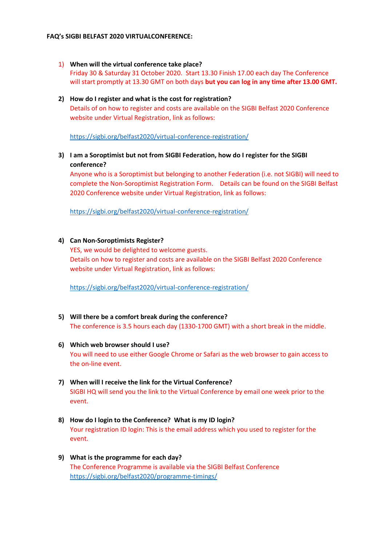## **FAQ's SIGBI BELFAST 2020 VIRTUALCONFERENCE:**

- 1) **When will the virtual conference take place?** Friday 30 & Saturday 31 October 2020. Start 13.30 Finish 17.00 each day The Conference will start promptly at 13.30 GMT on both days **but you can log in any time after 13.00 GMT.**
- **2) How do I register and what is the cost for registration?** Details of on how to register and costs are available on the SIGBI Belfast 2020 Conference website under Virtual Registration, link as follows:

<https://sigbi.org/belfast2020/virtual-conference-registration/>

**3) I am a Soroptimist but not from SIGBI Federation, how do I register for the SIGBI conference?**

Anyone who is a Soroptimist but belonging to another Federation (i.e. not SIGBI) will need to complete the Non-Soroptimist Registration Form. Details can be found on the SIGBI Belfast 2020 Conference website under Virtual Registration, link as follows:

<https://sigbi.org/belfast2020/virtual-conference-registration/>

# **4) Can Non-Soroptimists Register?**

YES, we would be delighted to welcome guests. Details on how to register and costs are available on the SIGBI Belfast 2020 Conference website under Virtual Registration, link as follows:

<https://sigbi.org/belfast2020/virtual-conference-registration/>

- **5) Will there be a comfort break during the conference?** The conference is 3.5 hours each day (1330-1700 GMT) with a short break in the middle.
- **6) Which web browser should I use?** You will need to use either Google Chrome or Safari as the web browser to gain access to the on-line event.
- **7) When will I receive the link for the Virtual Conference?** SIGBI HQ will send you the link to the Virtual Conference by email one week prior to the event.
- **8) How do I login to the Conference? What is my ID login?** Your registration ID login: This is the email address which you used to register for the event.
- **9) What is the programme for each day?** The Conference Programme is available via the SIGBI Belfast Conference <https://sigbi.org/belfast2020/programme-timings/>